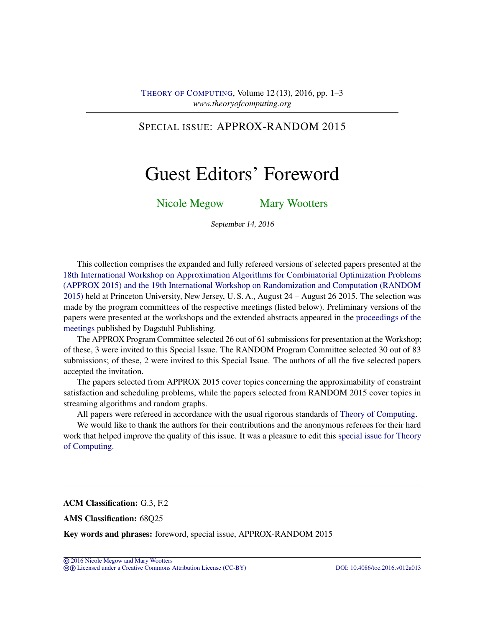# SPECIAL ISSUE: APPROX-RANDOM 2015

# Guest Editors' Foreword

[Nicole Megow](#page-2-0) [Mary Wootters](#page-2-1)

September 14, 2016

This collection comprises the expanded and fully refereed versions of selected papers presented at the [18th International Workshop on Approximation Algorithms for Combinatorial Optimization Problems](http://cui.unige.ch/tcs/random-approx/2015/) [\(APPROX 2015\) and the 19th International Workshop on Randomization and Computation \(RANDOM](http://cui.unige.ch/tcs/random-approx/2015/) [2015\)](http://cui.unige.ch/tcs/random-approx/2015/) held at Princeton University, New Jersey, U. S. A., August 24 – August 26 2015. The selection was made by the program committees of the respective meetings (listed below). Preliminary versions of the papers were presented at the workshops and the extended abstracts appeared in the [proceedings of the](http://drops.dagstuhl.de/opus/portals/lipics/index.php?semnr=15012) [meetings](http://drops.dagstuhl.de/opus/portals/lipics/index.php?semnr=15012) published by Dagstuhl Publishing.

The APPROX Program Committee selected 26 out of 61 submissions for presentation at the Workshop; of these, 3 were invited to this Special Issue. The RANDOM Program Committee selected 30 out of 83 submissions; of these, 2 were invited to this Special Issue. The authors of all the five selected papers accepted the invitation.

The papers selected from APPROX 2015 cover topics concerning the approximability of constraint satisfaction and scheduling problems, while the papers selected from RANDOM 2015 cover topics in streaming algorithms and random graphs.

All papers were refereed in accordance with the usual rigorous standards of [Theory of Computing.](http://dx.doi.org/10.4086/toc)

We would like to thank the authors for their contributions and the anonymous referees for their hard work that helped improve the quality of this issue. It was a pleasure to edit this [special issue for Theory](http://theoryofcomputing.org/categories/APPROX-RANDOM_2015_special_issue.html) [of Computing.](http://theoryofcomputing.org/categories/APPROX-RANDOM_2015_special_issue.html)

ACM Classification: G.3, F.2

AMS Classification: 68Q25

Key words and phrases: foreword, special issue, APPROX-RANDOM 2015

cb [Licensed under a Creative Commons Attribution License \(CC-BY\)](http://creativecommons.org/licenses/by/3.0/) [DOI: 10.4086/toc.2016.v012a013](http://dx.doi.org/10.4086/toc.2016.v012a013)

<sup>©</sup> [2016 Nicole Megow and Mary Wootters](http://theoryofcomputing.org/copyright2009.html)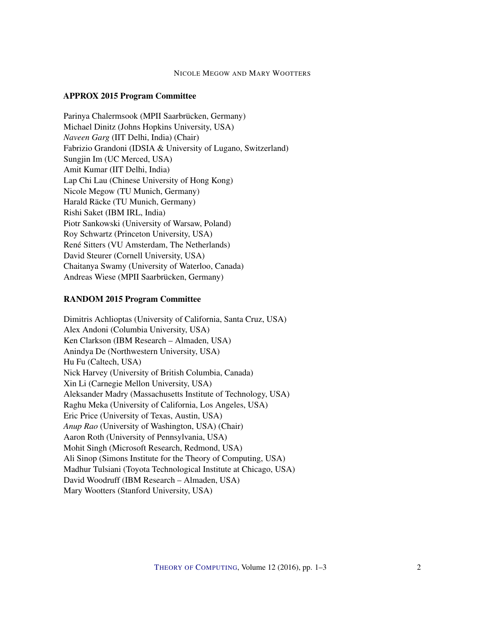#### NICOLE MEGOW AND MARY WOOTTERS

#### APPROX 2015 Program Committee

Parinya Chalermsook (MPII Saarbrücken, Germany) Michael Dinitz (Johns Hopkins University, USA) *Naveen Garg* (IIT Delhi, India) (Chair) Fabrizio Grandoni (IDSIA & University of Lugano, Switzerland) Sungjin Im (UC Merced, USA) Amit Kumar (IIT Delhi, India) Lap Chi Lau (Chinese University of Hong Kong) Nicole Megow (TU Munich, Germany) Harald Räcke (TU Munich, Germany) Rishi Saket (IBM IRL, India) Piotr Sankowski (University of Warsaw, Poland) Roy Schwartz (Princeton University, USA) René Sitters (VU Amsterdam, The Netherlands) David Steurer (Cornell University, USA) Chaitanya Swamy (University of Waterloo, Canada) Andreas Wiese (MPII Saarbrücken, Germany)

#### RANDOM 2015 Program Committee

Dimitris Achlioptas (University of California, Santa Cruz, USA) Alex Andoni (Columbia University, USA) Ken Clarkson (IBM Research – Almaden, USA) Anindya De (Northwestern University, USA) Hu Fu (Caltech, USA) Nick Harvey (University of British Columbia, Canada) Xin Li (Carnegie Mellon University, USA) Aleksander Madry (Massachusetts Institute of Technology, USA) Raghu Meka (University of California, Los Angeles, USA) Eric Price (University of Texas, Austin, USA) *Anup Rao* (University of Washington, USA) (Chair) Aaron Roth (University of Pennsylvania, USA) Mohit Singh (Microsoft Research, Redmond, USA) Ali Sinop (Simons Institute for the Theory of Computing, USA) Madhur Tulsiani (Toyota Technological Institute at Chicago, USA) David Woodruff (IBM Research – Almaden, USA) Mary Wootters (Stanford University, USA)